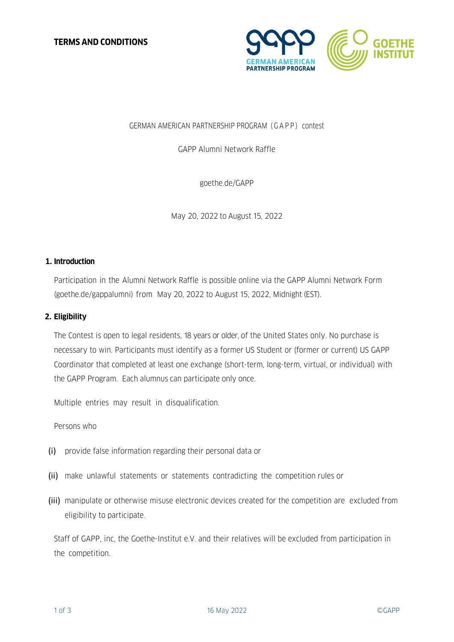

# GERMAN AMERICAN PARTNERSHIP PROGRAM (GAPP) contest

GAPP Alumni Network Raffle

goethe.de/GAPP

May 20, 2022 to August 15, 2022

## **1. Introduction**

Participation in the Alumni Network Raffle is possible online via the GAPP Alumni Network Form (goethe.de/gappalumni) from May 20, 2022 to August 15, 2022, Midnight (EST).

# **2. Eligibility**

The Contest is open to legal residents, 18 years or older, of the United States only. No purchase is necessary to win. Participants must identify as a former US Student or (former or current) US GAPP Coordinator that completed at least one exchange (short-term, long-term, virtual, or individual) with the GAPP Program. Each alumnus can participate only once.

Multiple entries may result in disqualification.

Persons who

- (i) provide false information regarding their personal data or
- (ii) make unlawful statements or statements contradicting the competition rules or
- (iii) manipulate or otherwise misuse electronic devices created for the competition are excluded from eligibility to participate.

Staff of GAPP, inc, the Goethe-Institut e.V. and their relatives will be excluded from participation in the competition.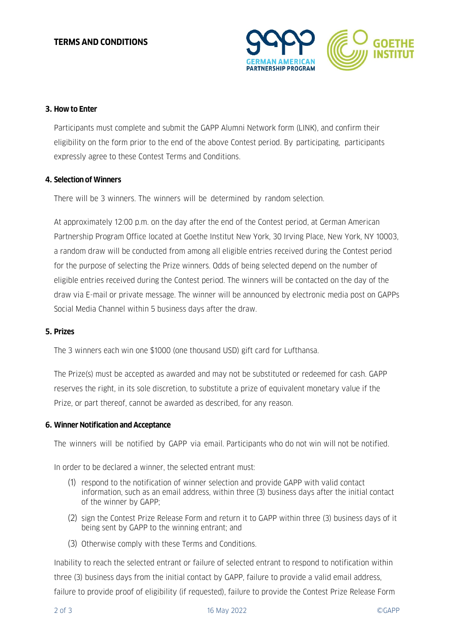

# **3. How to Enter**

Participants must complete and submit the GAPP Alumni Network form (LINK), and confirm their eligibility on the form prior to the end of the above Contest period. By participating, participants expressly agree to these Contest Terms and Conditions.

## **4. Selection of Winners**

There will be 3 winners. The winners will be determined by random selection.

At approximately 12:00 p.m. on the day after the end of the Contest period, at German American Partnership Program Office located at Goethe Institut New York, 30 Irving Place, New York, NY 10003, a random draw will be conducted from among all eligible entries received during the Contest period for the purpose of selecting the Prize winners. Odds of being selected depend on the number of eligible entries received during the Contest period. The winners will be contacted on the day of the draw via E-mail or private message. The winner will be announced by electronic media post on GAPPs Social Media Channel within 5 business days after the draw.

## **5. Prizes**

The 3 winners each win one \$1000 (one thousand USD) gift card for Lufthansa.

The Prize(s) must be accepted as awarded and may not be substituted or redeemed for cash. GAPP reserves the right, in its sole discretion, to substitute a prize of equivalent monetary value if the Prize, or part thereof, cannot be awarded as described, for any reason.

## **6. Winner Notification and Acceptance**

The winners will be notified by GAPP via email. Participants who do not win will not be notified.

In order to be declared a winner, the selected entrant must:

- (1) respond to the notification of winner selection and provide GAPP with valid contact information, such as an email address, within three (3) business days after the initial contact of the winner by GAPP;
- (2) sign the Contest Prize Release Form and return it to GAPP within three (3) business days of it being sent by GAPP to the winning entrant; and
- (3) Otherwise comply with these Terms and Conditions.

Inability to reach the selected entrant or failure of selected entrant to respond to notification within three (3) business days from the initial contact by GAPP, failure to provide a valid email address, failure to provide proof of eligibility (if requested), failure to provide the Contest Prize Release Form